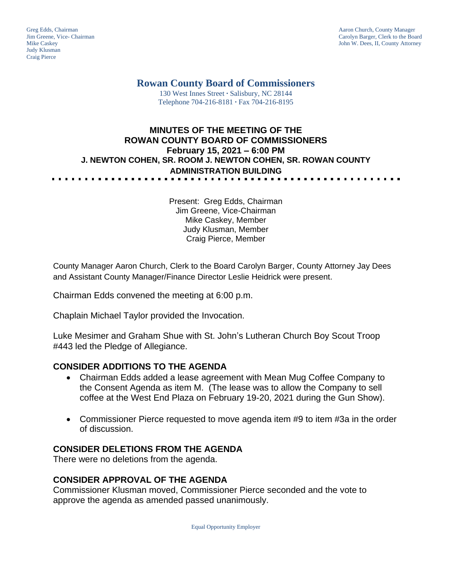Judy Klusman Craig Pierce

Greg Edds, Chairman Aaron Church, County Manager<br>
Jim Greene, Vice- Chairman Aaron Church, County Manager<br>
Carolyn Barger, Clerk to the Boa Jim Greene, Vice- Chairman Carolyn Barger, Clerk to the Board John W. Dees, II, County Attorney

# **Rowan County Board of Commissioners**

130 West Innes Street **∙** Salisbury, NC 28144 Telephone 704-216-8181 **∙** Fax 704-216-8195

#### **MINUTES OF THE MEETING OF THE ROWAN COUNTY BOARD OF COMMISSIONERS February 15, 2021 – 6:00 PM J. NEWTON COHEN, SR. ROOM J. NEWTON COHEN, SR. ROWAN COUNTY ADMINISTRATION BUILDING**

Present: Greg Edds, Chairman Jim Greene, Vice-Chairman Mike Caskey, Member Judy Klusman, Member Craig Pierce, Member

County Manager Aaron Church, Clerk to the Board Carolyn Barger, County Attorney Jay Dees and Assistant County Manager/Finance Director Leslie Heidrick were present.

Chairman Edds convened the meeting at 6:00 p.m.

Chaplain Michael Taylor provided the Invocation.

Luke Mesimer and Graham Shue with St. John's Lutheran Church Boy Scout Troop #443 led the Pledge of Allegiance.

#### **CONSIDER ADDITIONS TO THE AGENDA**

- Chairman Edds added a lease agreement with Mean Mug Coffee Company to the Consent Agenda as item M. (The lease was to allow the Company to sell coffee at the West End Plaza on February 19-20, 2021 during the Gun Show).
- Commissioner Pierce requested to move agenda item #9 to item #3a in the order of discussion.

### **CONSIDER DELETIONS FROM THE AGENDA**

There were no deletions from the agenda.

#### **CONSIDER APPROVAL OF THE AGENDA**

Commissioner Klusman moved, Commissioner Pierce seconded and the vote to approve the agenda as amended passed unanimously.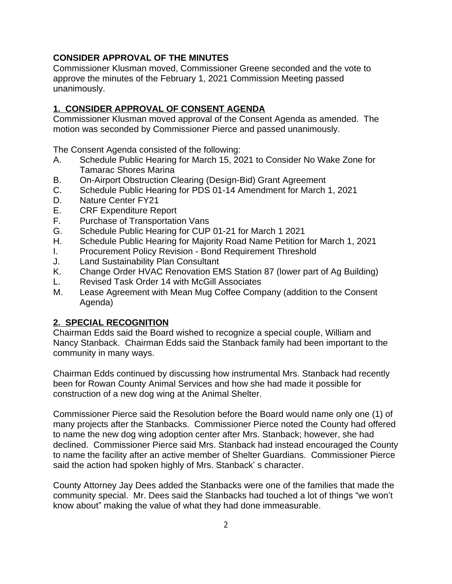## **CONSIDER APPROVAL OF THE MINUTES**

Commissioner Klusman moved, Commissioner Greene seconded and the vote to approve the minutes of the February 1, 2021 Commission Meeting passed unanimously.

## **1. CONSIDER APPROVAL OF CONSENT AGENDA**

Commissioner Klusman moved approval of the Consent Agenda as amended. The motion was seconded by Commissioner Pierce and passed unanimously.

The Consent Agenda consisted of the following:

- A. Schedule Public Hearing for March 15, 2021 to Consider No Wake Zone for Tamarac Shores Marina
- B. On-Airport Obstruction Clearing (Design-Bid) Grant Agreement
- C. Schedule Public Hearing for PDS 01-14 Amendment for March 1, 2021
- D. Nature Center FY21
- E. CRF Expenditure Report
- F. Purchase of Transportation Vans
- G. Schedule Public Hearing for CUP 01-21 for March 1 2021
- H. Schedule Public Hearing for Majority Road Name Petition for March 1, 2021
- I. Procurement Policy Revision Bond Requirement Threshold
- J. Land Sustainability Plan Consultant
- K. Change Order HVAC Renovation EMS Station 87 (lower part of Ag Building)
- L. Revised Task Order 14 with McGill Associates
- M. Lease Agreement with Mean Mug Coffee Company (addition to the Consent Agenda)

### **2. SPECIAL RECOGNITION**

Chairman Edds said the Board wished to recognize a special couple, William and Nancy Stanback. Chairman Edds said the Stanback family had been important to the community in many ways.

Chairman Edds continued by discussing how instrumental Mrs. Stanback had recently been for Rowan County Animal Services and how she had made it possible for construction of a new dog wing at the Animal Shelter.

Commissioner Pierce said the Resolution before the Board would name only one (1) of many projects after the Stanbacks. Commissioner Pierce noted the County had offered to name the new dog wing adoption center after Mrs. Stanback; however, she had declined. Commissioner Pierce said Mrs. Stanback had instead encouraged the County to name the facility after an active member of Shelter Guardians. Commissioner Pierce said the action had spoken highly of Mrs. Stanback' s character.

County Attorney Jay Dees added the Stanbacks were one of the families that made the community special. Mr. Dees said the Stanbacks had touched a lot of things "we won't know about" making the value of what they had done immeasurable.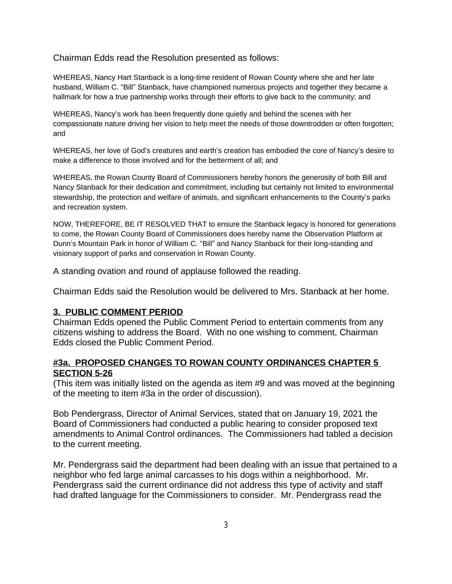Chairman Edds read the Resolution presented as follows:

WHEREAS, Nancy Hart Stanback is a long-time resident of Rowan County where she and her late husband, William C. "Bill" Stanback, have championed numerous projects and together they became a hallmark for how a true partnership works through their efforts to give back to the community; and

WHEREAS, Nancy's work has been frequently done quietly and behind the scenes with her compassionate nature driving her vision to help meet the needs of those downtrodden or often forgotten; and

WHEREAS, her love of God's creatures and earth's creation has embodied the core of Nancy's desire to make a difference to those involved and for the betterment of all; and

WHEREAS, the Rowan County Board of Commissioners hereby honors the generosity of both Bill and Nancy Stanback for their dedication and commitment, including but certainly not limited to environmental stewardship, the protection and welfare of animals, and significant enhancements to the County's parks and recreation system.

NOW, THEREFORE, BE IT RESOLVED THAT to ensure the Stanback legacy is honored for generations to come, the Rowan County Board of Commissioners does hereby name the Observation Platform at Dunn's Mountain Park in honor of William C. "Bill" and Nancy Stanback for their long-standing and visionary support of parks and conservation in Rowan County.

A standing ovation and round of applause followed the reading.

Chairman Edds said the Resolution would be delivered to Mrs. Stanback at her home.

#### **3. PUBLIC COMMENT PERIOD**

Chairman Edds opened the Public Comment Period to entertain comments from any citizens wishing to address the Board. With no one wishing to comment, Chairman Edds closed the Public Comment Period.

#### **#3a. PROPOSED CHANGES TO ROWAN COUNTY ORDINANCES CHAPTER 5 SECTION 5-26**

(This item was initially listed on the agenda as item #9 and was moved at the beginning of the meeting to item #3a in the order of discussion).

Bob Pendergrass, Director of Animal Services, stated that on January 19, 2021 the Board of Commissioners had conducted a public hearing to consider proposed text amendments to Animal Control ordinances. The Commissioners had tabled a decision to the current meeting.

Mr. Pendergrass said the department had been dealing with an issue that pertained to a neighbor who fed large animal carcasses to his dogs within a neighborhood. Mr. Pendergrass said the current ordinance did not address this type of activity and staff had drafted language for the Commissioners to consider. Mr. Pendergrass read the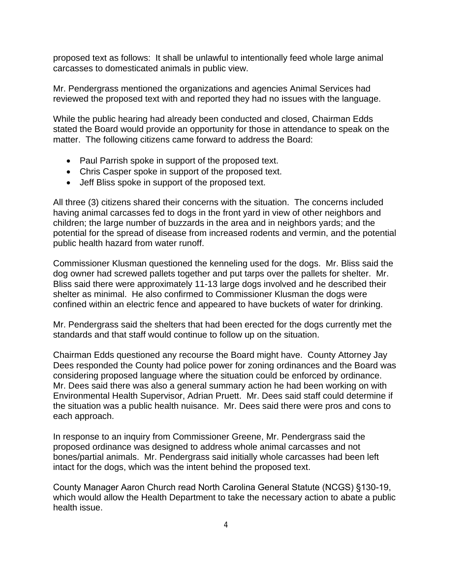proposed text as follows: It shall be unlawful to intentionally feed whole large animal carcasses to domesticated animals in public view.

Mr. Pendergrass mentioned the organizations and agencies Animal Services had reviewed the proposed text with and reported they had no issues with the language.

While the public hearing had already been conducted and closed, Chairman Edds stated the Board would provide an opportunity for those in attendance to speak on the matter. The following citizens came forward to address the Board:

- Paul Parrish spoke in support of the proposed text.
- Chris Casper spoke in support of the proposed text.
- Jeff Bliss spoke in support of the proposed text.

All three (3) citizens shared their concerns with the situation. The concerns included having animal carcasses fed to dogs in the front yard in view of other neighbors and children; the large number of buzzards in the area and in neighbors yards; and the potential for the spread of disease from increased rodents and vermin, and the potential public health hazard from water runoff.

Commissioner Klusman questioned the kenneling used for the dogs. Mr. Bliss said the dog owner had screwed pallets together and put tarps over the pallets for shelter. Mr. Bliss said there were approximately 11-13 large dogs involved and he described their shelter as minimal. He also confirmed to Commissioner Klusman the dogs were confined within an electric fence and appeared to have buckets of water for drinking.

Mr. Pendergrass said the shelters that had been erected for the dogs currently met the standards and that staff would continue to follow up on the situation.

Chairman Edds questioned any recourse the Board might have. County Attorney Jay Dees responded the County had police power for zoning ordinances and the Board was considering proposed language where the situation could be enforced by ordinance. Mr. Dees said there was also a general summary action he had been working on with Environmental Health Supervisor, Adrian Pruett. Mr. Dees said staff could determine if the situation was a public health nuisance. Mr. Dees said there were pros and cons to each approach.

In response to an inquiry from Commissioner Greene, Mr. Pendergrass said the proposed ordinance was designed to address whole animal carcasses and not bones/partial animals. Mr. Pendergrass said initially whole carcasses had been left intact for the dogs, which was the intent behind the proposed text.

County Manager Aaron Church read North Carolina General Statute (NCGS) §130-19, which would allow the Health Department to take the necessary action to abate a public health issue.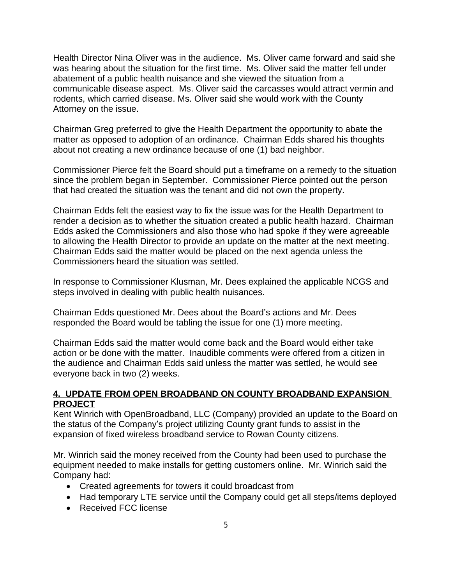Health Director Nina Oliver was in the audience. Ms. Oliver came forward and said she was hearing about the situation for the first time. Ms. Oliver said the matter fell under abatement of a public health nuisance and she viewed the situation from a communicable disease aspect. Ms. Oliver said the carcasses would attract vermin and rodents, which carried disease. Ms. Oliver said she would work with the County Attorney on the issue.

Chairman Greg preferred to give the Health Department the opportunity to abate the matter as opposed to adoption of an ordinance. Chairman Edds shared his thoughts about not creating a new ordinance because of one (1) bad neighbor.

Commissioner Pierce felt the Board should put a timeframe on a remedy to the situation since the problem began in September. Commissioner Pierce pointed out the person that had created the situation was the tenant and did not own the property.

Chairman Edds felt the easiest way to fix the issue was for the Health Department to render a decision as to whether the situation created a public health hazard. Chairman Edds asked the Commissioners and also those who had spoke if they were agreeable to allowing the Health Director to provide an update on the matter at the next meeting. Chairman Edds said the matter would be placed on the next agenda unless the Commissioners heard the situation was settled.

In response to Commissioner Klusman, Mr. Dees explained the applicable NCGS and steps involved in dealing with public health nuisances.

Chairman Edds questioned Mr. Dees about the Board's actions and Mr. Dees responded the Board would be tabling the issue for one (1) more meeting.

Chairman Edds said the matter would come back and the Board would either take action or be done with the matter. Inaudible comments were offered from a citizen in the audience and Chairman Edds said unless the matter was settled, he would see everyone back in two (2) weeks.

#### **4. UPDATE FROM OPEN BROADBAND ON COUNTY BROADBAND EXPANSION PROJECT**

Kent Winrich with OpenBroadband, LLC (Company) provided an update to the Board on the status of the Company's project utilizing County grant funds to assist in the expansion of fixed wireless broadband service to Rowan County citizens.

Mr. Winrich said the money received from the County had been used to purchase the equipment needed to make installs for getting customers online. Mr. Winrich said the Company had:

- Created agreements for towers it could broadcast from
- Had temporary LTE service until the Company could get all steps/items deployed
- Received FCC license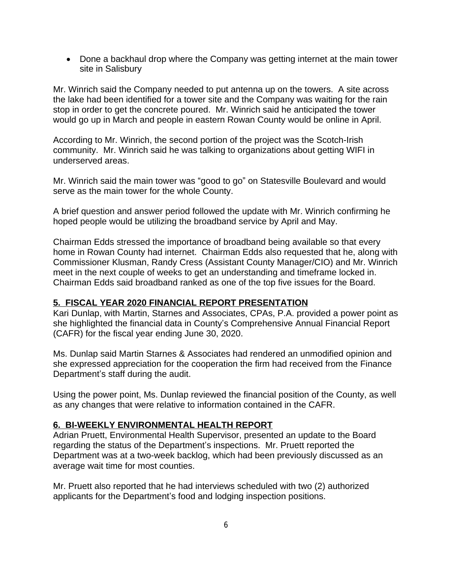• Done a backhaul drop where the Company was getting internet at the main tower site in Salisbury

Mr. Winrich said the Company needed to put antenna up on the towers. A site across the lake had been identified for a tower site and the Company was waiting for the rain stop in order to get the concrete poured. Mr. Winrich said he anticipated the tower would go up in March and people in eastern Rowan County would be online in April.

According to Mr. Winrich, the second portion of the project was the Scotch-Irish community. Mr. Winrich said he was talking to organizations about getting WIFI in underserved areas.

Mr. Winrich said the main tower was "good to go" on Statesville Boulevard and would serve as the main tower for the whole County.

A brief question and answer period followed the update with Mr. Winrich confirming he hoped people would be utilizing the broadband service by April and May.

Chairman Edds stressed the importance of broadband being available so that every home in Rowan County had internet. Chairman Edds also requested that he, along with Commissioner Klusman, Randy Cress (Assistant County Manager/CIO) and Mr. Winrich meet in the next couple of weeks to get an understanding and timeframe locked in. Chairman Edds said broadband ranked as one of the top five issues for the Board.

### **5. FISCAL YEAR 2020 FINANCIAL REPORT PRESENTATION**

Kari Dunlap, with Martin, Starnes and Associates, CPAs, P.A. provided a power point as she highlighted the financial data in County's Comprehensive Annual Financial Report (CAFR) for the fiscal year ending June 30, 2020.

Ms. Dunlap said Martin Starnes & Associates had rendered an unmodified opinion and she expressed appreciation for the cooperation the firm had received from the Finance Department's staff during the audit.

Using the power point, Ms. Dunlap reviewed the financial position of the County, as well as any changes that were relative to information contained in the CAFR.

#### **6. BI-WEEKLY ENVIRONMENTAL HEALTH REPORT**

Adrian Pruett, Environmental Health Supervisor, presented an update to the Board regarding the status of the Department's inspections. Mr. Pruett reported the Department was at a two-week backlog, which had been previously discussed as an average wait time for most counties.

Mr. Pruett also reported that he had interviews scheduled with two (2) authorized applicants for the Department's food and lodging inspection positions.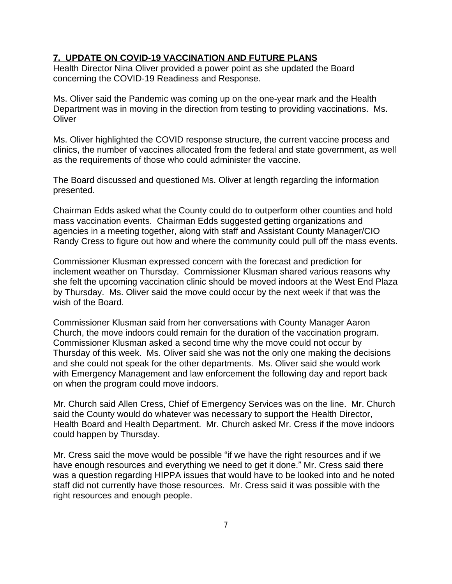#### **7. UPDATE ON COVID-19 VACCINATION AND FUTURE PLANS**

Health Director Nina Oliver provided a power point as she updated the Board concerning the COVID-19 Readiness and Response.

Ms. Oliver said the Pandemic was coming up on the one-year mark and the Health Department was in moving in the direction from testing to providing vaccinations. Ms. **Oliver** 

Ms. Oliver highlighted the COVID response structure, the current vaccine process and clinics, the number of vaccines allocated from the federal and state government, as well as the requirements of those who could administer the vaccine.

The Board discussed and questioned Ms. Oliver at length regarding the information presented.

Chairman Edds asked what the County could do to outperform other counties and hold mass vaccination events. Chairman Edds suggested getting organizations and agencies in a meeting together, along with staff and Assistant County Manager/CIO Randy Cress to figure out how and where the community could pull off the mass events.

Commissioner Klusman expressed concern with the forecast and prediction for inclement weather on Thursday. Commissioner Klusman shared various reasons why she felt the upcoming vaccination clinic should be moved indoors at the West End Plaza by Thursday. Ms. Oliver said the move could occur by the next week if that was the wish of the Board.

Commissioner Klusman said from her conversations with County Manager Aaron Church, the move indoors could remain for the duration of the vaccination program. Commissioner Klusman asked a second time why the move could not occur by Thursday of this week. Ms. Oliver said she was not the only one making the decisions and she could not speak for the other departments. Ms. Oliver said she would work with Emergency Management and law enforcement the following day and report back on when the program could move indoors.

Mr. Church said Allen Cress, Chief of Emergency Services was on the line. Mr. Church said the County would do whatever was necessary to support the Health Director, Health Board and Health Department. Mr. Church asked Mr. Cress if the move indoors could happen by Thursday.

Mr. Cress said the move would be possible "if we have the right resources and if we have enough resources and everything we need to get it done." Mr. Cress said there was a question regarding HIPPA issues that would have to be looked into and he noted staff did not currently have those resources. Mr. Cress said it was possible with the right resources and enough people.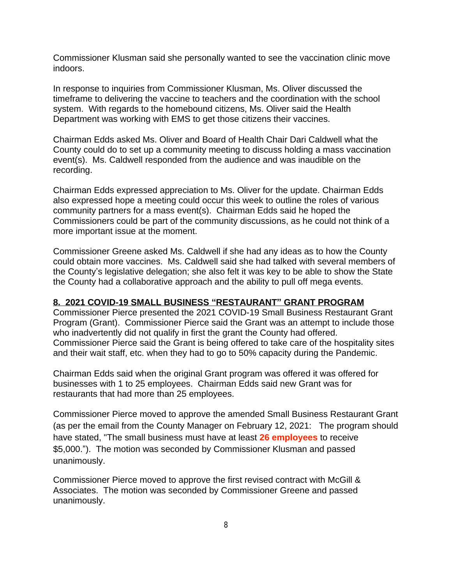Commissioner Klusman said she personally wanted to see the vaccination clinic move indoors.

In response to inquiries from Commissioner Klusman, Ms. Oliver discussed the timeframe to delivering the vaccine to teachers and the coordination with the school system. With regards to the homebound citizens, Ms. Oliver said the Health Department was working with EMS to get those citizens their vaccines.

Chairman Edds asked Ms. Oliver and Board of Health Chair Dari Caldwell what the County could do to set up a community meeting to discuss holding a mass vaccination event(s). Ms. Caldwell responded from the audience and was inaudible on the recording.

Chairman Edds expressed appreciation to Ms. Oliver for the update. Chairman Edds also expressed hope a meeting could occur this week to outline the roles of various community partners for a mass event(s). Chairman Edds said he hoped the Commissioners could be part of the community discussions, as he could not think of a more important issue at the moment.

Commissioner Greene asked Ms. Caldwell if she had any ideas as to how the County could obtain more vaccines. Ms. Caldwell said she had talked with several members of the County's legislative delegation; she also felt it was key to be able to show the State the County had a collaborative approach and the ability to pull off mega events.

### **8. 2021 COVID-19 SMALL BUSINESS "RESTAURANT" GRANT PROGRAM**

Commissioner Pierce presented the 2021 COVID-19 Small Business Restaurant Grant Program (Grant). Commissioner Pierce said the Grant was an attempt to include those who inadvertently did not qualify in first the grant the County had offered. Commissioner Pierce said the Grant is being offered to take care of the hospitality sites and their wait staff, etc. when they had to go to 50% capacity during the Pandemic.

Chairman Edds said when the original Grant program was offered it was offered for businesses with 1 to 25 employees. Chairman Edds said new Grant was for restaurants that had more than 25 employees.

Commissioner Pierce moved to approve the amended Small Business Restaurant Grant (as per the email from the County Manager on February 12, 2021: The program should have stated, "The small business must have at least **26 employees** to receive \$5,000."). The motion was seconded by Commissioner Klusman and passed unanimously.

Commissioner Pierce moved to approve the first revised contract with McGill & Associates. The motion was seconded by Commissioner Greene and passed unanimously.